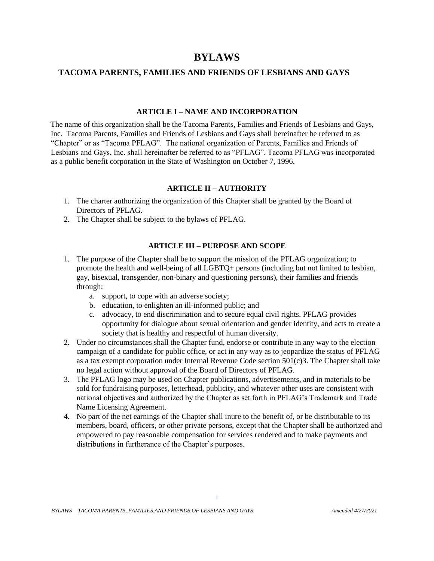# **BYLAWS**

#### **TACOMA PARENTS, FAMILIES AND FRIENDS OF LESBIANS AND GAYS**

#### **ARTICLE I – NAME AND INCORPORATION**

The name of this organization shall be the Tacoma Parents, Families and Friends of Lesbians and Gays, Inc. Tacoma Parents, Families and Friends of Lesbians and Gays shall hereinafter be referred to as "Chapter" or as "Tacoma PFLAG". The national organization of Parents, Families and Friends of Lesbians and Gays, Inc. shall hereinafter be referred to as "PFLAG". Tacoma PFLAG was incorporated as a public benefit corporation in the State of Washington on October 7, 1996.

#### **ARTICLE II – AUTHORITY**

- 1. The charter authorizing the organization of this Chapter shall be granted by the Board of Directors of PFLAG.
- 2. The Chapter shall be subject to the bylaws of PFLAG.

### **ARTICLE III – PURPOSE AND SCOPE**

- 1. The purpose of the Chapter shall be to support the mission of the PFLAG organization; to promote the health and well-being of all LGBTQ+ persons (including but not limited to lesbian, gay, bisexual, transgender, non-binary and questioning persons), their families and friends through:
	- a. support, to cope with an adverse society;
	- b. education, to enlighten an ill-informed public; and
	- c. advocacy, to end discrimination and to secure equal civil rights. PFLAG provides opportunity for dialogue about sexual orientation and gender identity, and acts to create a society that is healthy and respectful of human diversity.
- 2. Under no circumstances shall the Chapter fund, endorse or contribute in any way to the election campaign of a candidate for public office, or act in any way as to jeopardize the status of PFLAG as a tax exempt corporation under Internal Revenue Code section 501(c)3. The Chapter shall take no legal action without approval of the Board of Directors of PFLAG.
- 3. The PFLAG logo may be used on Chapter publications, advertisements, and in materials to be sold for fundraising purposes, letterhead, publicity, and whatever other uses are consistent with national objectives and authorized by the Chapter as set forth in PFLAG's Trademark and Trade Name Licensing Agreement.
- 4. No part of the net earnings of the Chapter shall inure to the benefit of, or be distributable to its members, board, officers, or other private persons, except that the Chapter shall be authorized and empowered to pay reasonable compensation for services rendered and to make payments and distributions in furtherance of the Chapter's purposes.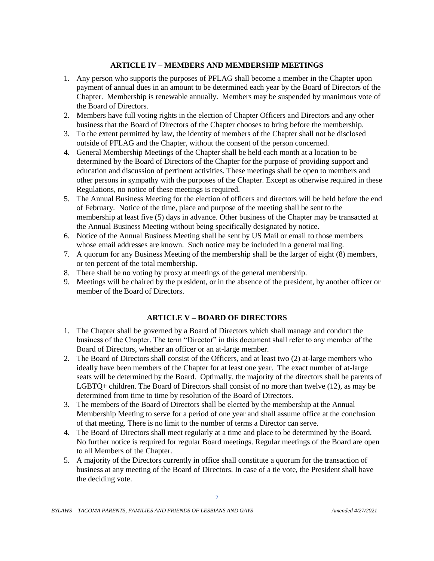## **ARTICLE IV – MEMBERS AND MEMBERSHIP MEETINGS**

- 1. Any person who supports the purposes of PFLAG shall become a member in the Chapter upon payment of annual dues in an amount to be determined each year by the Board of Directors of the Chapter. Membership is renewable annually. Members may be suspended by unanimous vote of the Board of Directors.
- 2. Members have full voting rights in the election of Chapter Officers and Directors and any other business that the Board of Directors of the Chapter chooses to bring before the membership.
- 3. To the extent permitted by law, the identity of members of the Chapter shall not be disclosed outside of PFLAG and the Chapter, without the consent of the person concerned.
- 4. General Membership Meetings of the Chapter shall be held each month at a location to be determined by the Board of Directors of the Chapter for the purpose of providing support and education and discussion of pertinent activities. These meetings shall be open to members and other persons in sympathy with the purposes of the Chapter. Except as otherwise required in these Regulations, no notice of these meetings is required.
- 5. The Annual Business Meeting for the election of officers and directors will be held before the end of February. Notice of the time, place and purpose of the meeting shall be sent to the membership at least five (5) days in advance. Other business of the Chapter may be transacted at the Annual Business Meeting without being specifically designated by notice.
- 6. Notice of the Annual Business Meeting shall be sent by US Mail or email to those members whose email addresses are known. Such notice may be included in a general mailing.
- 7. A quorum for any Business Meeting of the membership shall be the larger of eight (8) members, or ten percent of the total membership.
- 8. There shall be no voting by proxy at meetings of the general membership.
- 9. Meetings will be chaired by the president, or in the absence of the president, by another officer or member of the Board of Directors.

# **ARTICLE V – BOARD OF DIRECTORS**

- 1. The Chapter shall be governed by a Board of Directors which shall manage and conduct the business of the Chapter. The term "Director" in this document shall refer to any member of the Board of Directors, whether an officer or an at-large member.
- 2. The Board of Directors shall consist of the Officers, and at least two (2) at-large members who ideally have been members of the Chapter for at least one year. The exact number of at-large seats will be determined by the Board. Optimally, the majority of the directors shall be parents of LGBTQ+ children. The Board of Directors shall consist of no more than twelve (12), as may be determined from time to time by resolution of the Board of Directors.
- 3. The members of the Board of Directors shall be elected by the membership at the Annual Membership Meeting to serve for a period of one year and shall assume office at the conclusion of that meeting. There is no limit to the number of terms a Director can serve.
- 4. The Board of Directors shall meet regularly at a time and place to be determined by the Board. No further notice is required for regular Board meetings. Regular meetings of the Board are open to all Members of the Chapter.
- 5. A majority of the Directors currently in office shall constitute a quorum for the transaction of business at any meeting of the Board of Directors. In case of a tie vote, the President shall have the deciding vote.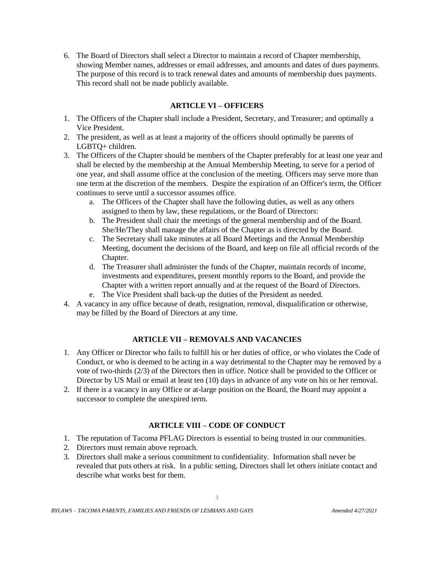6. The Board of Directors shall select a Director to maintain a record of Chapter membership, showing Member names, addresses or email addresses, and amounts and dates of dues payments. The purpose of this record is to track renewal dates and amounts of membership dues payments. This record shall not be made publicly available.

### **ARTICLE VI – OFFICERS**

- 1. The Officers of the Chapter shall include a President, Secretary, and Treasurer; and optimally a Vice President.
- 2. The president, as well as at least a majority of the officers should optimally be parents of LGBTQ+ children.
- 3. The Officers of the Chapter should be members of the Chapter preferably for at least one year and shall be elected by the membership at the Annual Membership Meeting, to serve for a period of one year, and shall assume office at the conclusion of the meeting. Officers may serve more than one term at the discretion of the members. Despite the expiration of an Officer's term, the Officer continues to serve until a successor assumes office.
	- a. The Officers of the Chapter shall have the following duties, as well as any others assigned to them by law, these regulations, or the Board of Directors:
	- b. The President shall chair the meetings of the general membership and of the Board. She/He/They shall manage the affairs of the Chapter as is directed by the Board.
	- c. The Secretary shall take minutes at all Board Meetings and the Annual Membership Meeting, document the decisions of the Board, and keep on file all official records of the Chapter.
	- d. The Treasurer shall administer the funds of the Chapter, maintain records of income, investments and expenditures, present monthly reports to the Board, and provide the Chapter with a written report annually and at the request of the Board of Directors.
	- e. The Vice President shall back-up the duties of the President as needed.
- 4. A vacancy in any office because of death, resignation, removal, disqualification or otherwise, may be filled by the Board of Directors at any time.

# **ARTICLE VII – REMOVALS AND VACANCIES**

- 1. Any Officer or Director who fails to fulfill his or her duties of office, or who violates the Code of Conduct, or who is deemed to be acting in a way detrimental to the Chapter may be removed by a vote of two-thirds (2/3) of the Directors then in office. Notice shall be provided to the Officer or Director by US Mail or email at least ten (10) days in advance of any vote on his or her removal.
- 2. If there is a vacancy in any Office or at-large position on the Board, the Board may appoint a successor to complete the unexpired term.

# **ARTICLE VIII – CODE OF CONDUCT**

- 1. The reputation of Tacoma PFLAG Directors is essential to being trusted in our communities.
- 2. Directors must remain above reproach.
- 3. Directors shall make a serious commitment to confidentiality. Information shall never be revealed that puts others at risk. In a public setting, Directors shall let others initiate contact and describe what works best for them.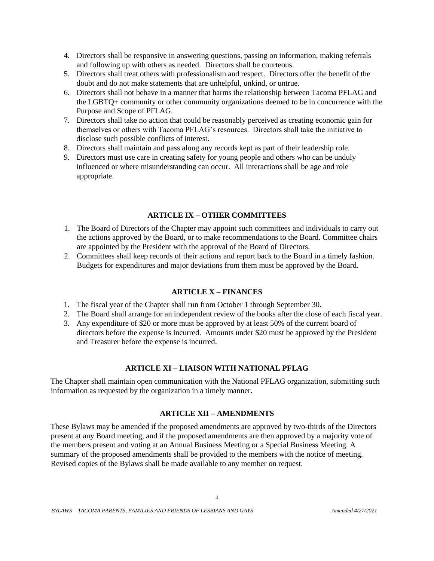- 4. Directors shall be responsive in answering questions, passing on information, making referrals and following up with others as needed. Directors shall be courteous.
- 5. Directors shall treat others with professionalism and respect. Directors offer the benefit of the doubt and do not make statements that are unhelpful, unkind, or untrue.
- 6. Directors shall not behave in a manner that harms the relationship between Tacoma PFLAG and the LGBTQ+ community or other community organizations deemed to be in concurrence with the Purpose and Scope of PFLAG.
- 7. Directors shall take no action that could be reasonably perceived as creating economic gain for themselves or others with Tacoma PFLAG's resources. Directors shall take the initiative to disclose such possible conflicts of interest.
- 8. Directors shall maintain and pass along any records kept as part of their leadership role.
- 9. Directors must use care in creating safety for young people and others who can be unduly influenced or where misunderstanding can occur. All interactions shall be age and role appropriate.

## **ARTICLE IX – OTHER COMMITTEES**

- 1. The Board of Directors of the Chapter may appoint such committees and individuals to carry out the actions approved by the Board, or to make recommendations to the Board. Committee chairs are appointed by the President with the approval of the Board of Directors.
- 2. Committees shall keep records of their actions and report back to the Board in a timely fashion. Budgets for expenditures and major deviations from them must be approved by the Board.

# **ARTICLE X – FINANCES**

- 1. The fiscal year of the Chapter shall run from October 1 through September 30.
- 2. The Board shall arrange for an independent review of the books after the close of each fiscal year.
- 3. Any expenditure of \$20 or more must be approved by at least 50% of the current board of directors before the expense is incurred. Amounts under \$20 must be approved by the President and Treasurer before the expense is incurred.

# **ARTICLE XI – LIAISON WITH NATIONAL PFLAG**

The Chapter shall maintain open communication with the National PFLAG organization, submitting such information as requested by the organization in a timely manner.

# **ARTICLE XII – AMENDMENTS**

These Bylaws may be amended if the proposed amendments are approved by two-thirds of the Directors present at any Board meeting, and if the proposed amendments are then approved by a majority vote of the members present and voting at an Annual Business Meeting or a Special Business Meeting. A summary of the proposed amendments shall be provided to the members with the notice of meeting. Revised copies of the Bylaws shall be made available to any member on request.

4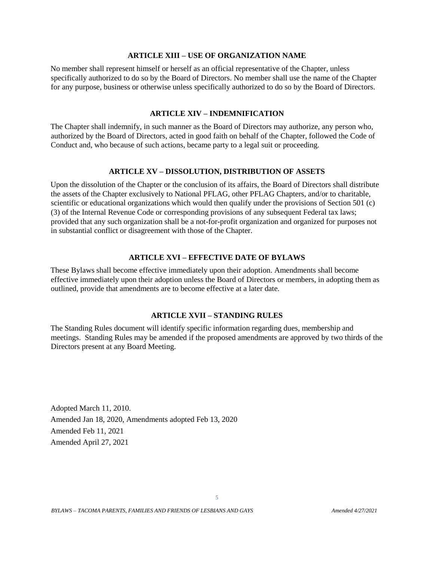#### **ARTICLE XIII – USE OF ORGANIZATION NAME**

No member shall represent himself or herself as an official representative of the Chapter, unless specifically authorized to do so by the Board of Directors. No member shall use the name of the Chapter for any purpose, business or otherwise unless specifically authorized to do so by the Board of Directors.

#### **ARTICLE XIV – INDEMNIFICATION**

The Chapter shall indemnify, in such manner as the Board of Directors may authorize, any person who, authorized by the Board of Directors, acted in good faith on behalf of the Chapter, followed the Code of Conduct and, who because of such actions, became party to a legal suit or proceeding.

#### **ARTICLE XV – DISSOLUTION, DISTRIBUTION OF ASSETS**

Upon the dissolution of the Chapter or the conclusion of its affairs, the Board of Directors shall distribute the assets of the Chapter exclusively to National PFLAG, other PFLAG Chapters, and/or to charitable, scientific or educational organizations which would then qualify under the provisions of Section 501 (c) (3) of the Internal Revenue Code or corresponding provisions of any subsequent Federal tax laws; provided that any such organization shall be a not-for-profit organization and organized for purposes not in substantial conflict or disagreement with those of the Chapter.

### **ARTICLE XVI – EFFECTIVE DATE OF BYLAWS**

These Bylaws shall become effective immediately upon their adoption. Amendments shall become effective immediately upon their adoption unless the Board of Directors or members, in adopting them as outlined, provide that amendments are to become effective at a later date.

#### **ARTICLE XVII – STANDING RULES**

The Standing Rules document will identify specific information regarding dues, membership and meetings. Standing Rules may be amended if the proposed amendments are approved by two thirds of the Directors present at any Board Meeting.

Adopted March 11, 2010. Amended Jan 18, 2020, Amendments adopted Feb 13, 2020 Amended Feb 11, 2021 Amended April 27, 2021